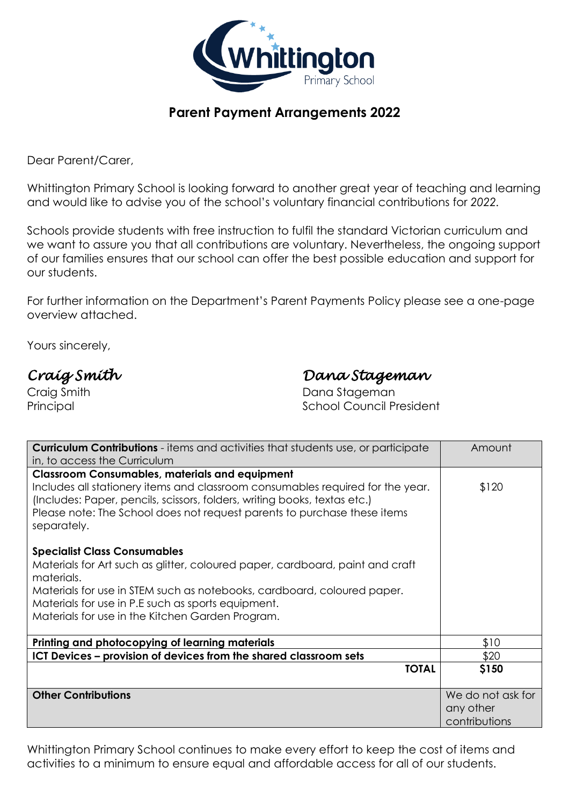

## **Parent Payment Arrangements 2022**

Dear Parent/Carer,

Whittington Primary School is looking forward to another great year of teaching and learning and would like to advise you of the school's voluntary financial contributions for *2022.*

Schools provide students with free instruction to fulfil the standard Victorian curriculum and we want to assure you that all contributions are voluntary. Nevertheless, the ongoing support of our families ensures that our school can offer the best possible education and support for our students.

For further information on the Department's Parent Payments Policy please see a one-page overview attached.

Yours sincerely,

# *Craig Smith Dana Stageman*

Craig Smith **Dana Stageman** Principal **Principal School Council President** 

| <b>Curriculum Contributions</b> - items and activities that students use, or participate                                                                                                                                                               | Amount            |
|--------------------------------------------------------------------------------------------------------------------------------------------------------------------------------------------------------------------------------------------------------|-------------------|
| in, to access the Curriculum                                                                                                                                                                                                                           |                   |
| <b>Classroom Consumables, materials and equipment</b>                                                                                                                                                                                                  |                   |
| Includes all stationery items and classroom consumables required for the year.<br>(Includes: Paper, pencils, scissors, folders, writing books, textas etc.)<br>Please note: The School does not request parents to purchase these items<br>separately. | \$120             |
| <b>Specialist Class Consumables</b>                                                                                                                                                                                                                    |                   |
| Materials for Art such as glitter, coloured paper, cardboard, paint and craft<br>materials.                                                                                                                                                            |                   |
| Materials for use in STEM such as notebooks, cardboard, coloured paper.                                                                                                                                                                                |                   |
| Materials for use in P.E such as sports equipment.                                                                                                                                                                                                     |                   |
| Materials for use in the Kitchen Garden Program.                                                                                                                                                                                                       |                   |
| Printing and photocopying of learning materials                                                                                                                                                                                                        | \$10              |
| ICT Devices - provision of devices from the shared classroom sets                                                                                                                                                                                      | \$20              |
| <b>TOTAL</b>                                                                                                                                                                                                                                           | \$150             |
| <b>Other Contributions</b>                                                                                                                                                                                                                             | We do not ask for |
|                                                                                                                                                                                                                                                        | any other         |
|                                                                                                                                                                                                                                                        | contributions     |

Whittington Primary School continues to make every effort to keep the cost of items and activities to a minimum to ensure equal and affordable access for all of our students.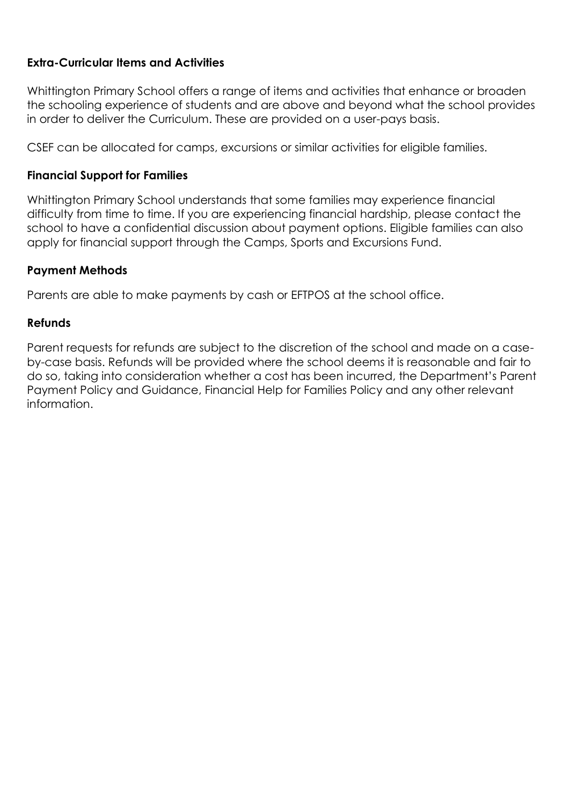#### **Extra-Curricular Items and Activities**

Whittington Primary School offers a range of items and activities that enhance or broaden the schooling experience of students and are above and beyond what the school provides in order to deliver the Curriculum. These are provided on a user-pays basis.

CSEF can be allocated for camps, excursions or similar activities for eligible families.

### **Financial Support for Families**

Whittington Primary School understands that some families may experience financial difficulty from time to time. If you are experiencing financial hardship, please contact the school to have a confidential discussion about payment options. Eligible families can also apply for financial support through the Camps, Sports and Excursions Fund.

#### **Payment Methods**

Parents are able to make payments by cash or EFTPOS at the school office.

#### **Refunds**

Parent requests for refunds are subject to the discretion of the school and made on a caseby-case basis. Refunds will be provided where the school deems it is reasonable and fair to do so, taking into consideration whether a cost has been incurred, the Department's Parent Payment Policy and Guidance, Financial Help for Families Policy and any other relevant information.